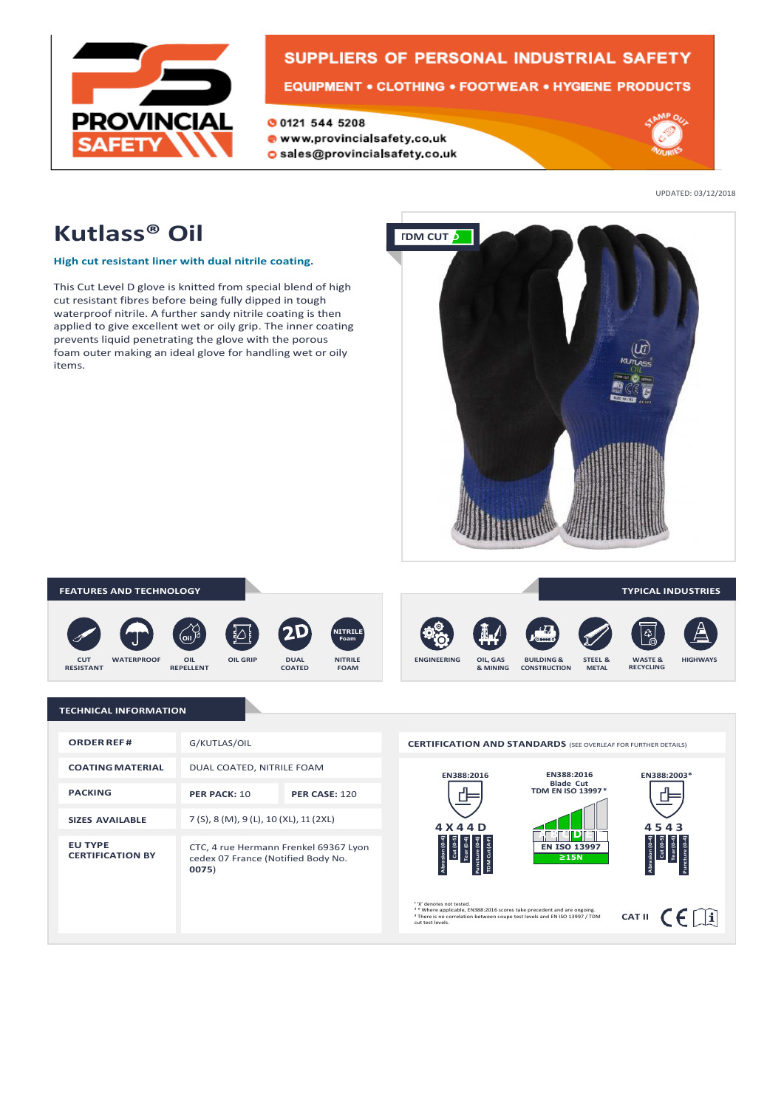

# **SUPPLIERS OF PERSONAL INDUSTRIAL SAFETY EQUIPMENT • CLOTHING • FOOTWEAR • HYGIENE PRODUCTS**

**00121 544 5208** www.provincialsafety.co.uk O sales@provincialsafety.co.uk



UPDATED: 03/12/2018

# **Kutlass® Oil**

**High cut resistant liner with dual nitrile coating.**

This Cut Level D glove is knitted from special blend of high cut resistant fibres before being fully dipped in tough waterproof nitrile. A further sandy nitrile coating is then applied to give excellent wet or oily grip. The inner coating prevents liquid penetrating the glove with the porous foam outer making an ideal glove for handling wet or oily items.



### **FEATURES AND TECHNOLOGY**













**TYPICAL INDUSTRIES**

 $CAT II$   $C \n\in \Box$ 

**TECHNICAL INFORMATION**

| <b>ORDER REF#</b>                         | G/KUTLAS/OIL                                                                         |                      |
|-------------------------------------------|--------------------------------------------------------------------------------------|----------------------|
| <b>COATING MATERIAL</b>                   | DUAL COATED, NITRILE FOAM                                                            |                      |
| <b>PACKING</b>                            | PER PACK: 10                                                                         | <b>PER CASE: 120</b> |
| <b>SIZES AVAILABLE</b>                    | 7 (S), 8 (M), 9 (L), 10 (XL), 11 (2XL)                                               |                      |
| <b>EU TYPE</b><br><b>CERTIFICATION BY</b> | CTC, 4 rue Hermann Frenkel 69367 Lyon<br>cedex 07 France (Notified Body No.<br>0075) |                      |



' %' denotes not tested.<br><sup>2</sup> \* Where applicable, EN388:2016 scores take precedent and are ongoing.<br><sup>3</sup> There is no correlation between coupe test levels and EN ISO 13997 / TDM<br>cut test levels.